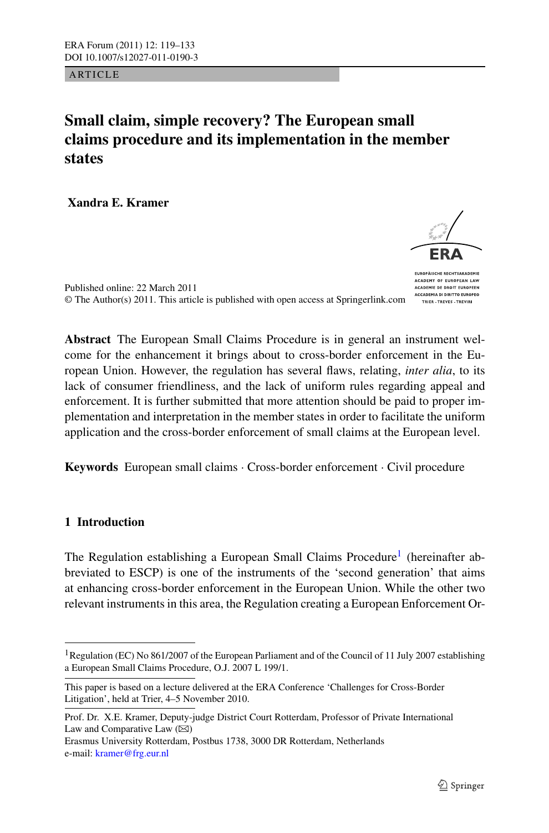ARTICLE

# **Small claim, simple recovery? The European small claims procedure and its implementation in the member states**

**Xandra E. Kramer**



EUROPÄISCHE RECHTSAKADEMIE

ACADEMY OF EUROPEAN LAV Published online: 22 March 2011 ACADEMIE DE DROIT EUROPEEN **ACCADEMIA DI DIRITTO EUROPEO** © The Author(s) 2011. This article is published with open access at Springerlink.com TRIER TREVES TREVIRE

**Abstract** The European Small Claims Procedure is in general an instrument welcome for the enhancement it brings about to cross-border enforcement in the European Union. However, the regulation has several flaws, relating, *inter alia*, to its lack of consumer friendliness, and the lack of uniform rules regarding appeal and enforcement. It is further submitted that more attention should be paid to proper implementation and interpretation in the member states in order to facilitate the uniform application and the cross-border enforcement of small claims at the European level.

**Keywords** European small claims · Cross-border enforcement · Civil procedure

# **1 Introduction**

<span id="page-0-0"></span>The Regulation establishing a European Small Claims Procedure<sup>[1](#page-0-0)</sup> (hereinafter abbreviated to ESCP) is one of the instruments of the 'second generation' that aims at enhancing cross-border enforcement in the European Union. While the other two relevant instruments in this area, the Regulation creating a European Enforcement Or-

Erasmus University Rotterdam, Postbus 1738, 3000 DR Rotterdam, Netherlands e-mail: [kramer@frg.eur.nl](mailto:kramer@frg.eur.nl)

<sup>&</sup>lt;sup>1</sup>Regulation (EC) No 861/2007 of the European Parliament and of the Council of 11 July 2007 establishing a European Small Claims Procedure, O.J. 2007 L 199/1.

This paper is based on a lecture delivered at the ERA Conference 'Challenges for Cross-Border Litigation', held at Trier, 4–5 November 2010.

Prof. Dr. X.E. Kramer, Deputy-judge District Court Rotterdam, Professor of Private International Law and Comparative Law  $(\boxtimes)$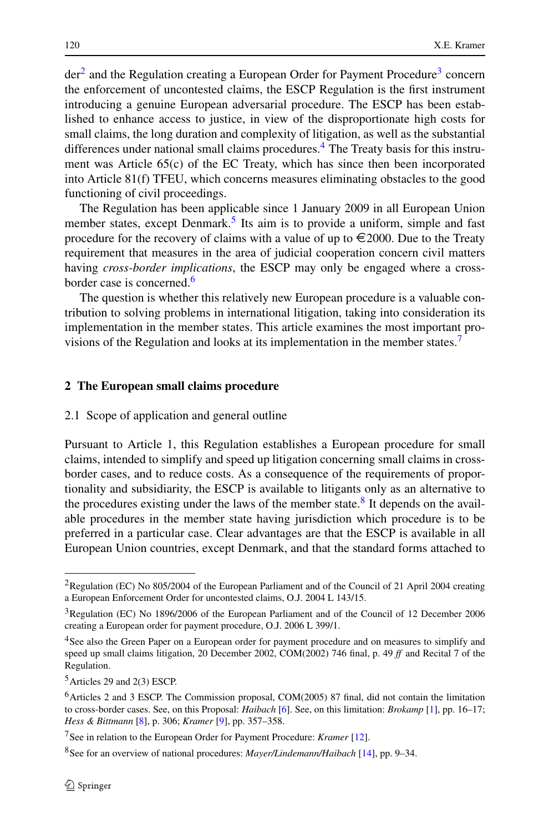$der<sup>2</sup>$  $der<sup>2</sup>$  $der<sup>2</sup>$  and the Regulation creating a European Order for Payment Procedure<sup>3</sup> concern the enforcement of uncontested claims, the ESCP Regulation is the first instrument introducing a genuine European adversarial procedure. The ESCP has been established to enhance access to justice, in view of the disproportionate high costs for small claims, the long duration and complexity of litigation, as well as the substantial differences under national small claims procedures.<sup>[4](#page-1-2)</sup> The Treaty basis for this instrument was Article 65(c) of the EC Treaty, which has since then been incorporated into Article 81(f) TFEU, which concerns measures eliminating obstacles to the good functioning of civil proceedings.

The Regulation has been applicable since 1 January 2009 in all European Union member states, except Denmark.<sup>[5](#page-1-3)</sup> Its aim is to provide a uniform, simple and fast procedure for the recovery of claims with a value of up to  $\epsilon$  2000. Due to the Treaty requirement that measures in the area of judicial cooperation concern civil matters having *cross-border implications*, the ESCP may only be engaged where a cross-border case is concerned.<sup>[6](#page-1-4)</sup>

The question is whether this relatively new European procedure is a valuable contribution to solving problems in international litigation, taking into consideration its implementation in the member states. This article examines the most important pro-visions of the Regulation and looks at its implementation in the member states.<sup>[7](#page-1-5)</sup>

#### **2 The European small claims procedure**

## 2.1 Scope of application and general outline

<span id="page-1-1"></span><span id="page-1-0"></span>Pursuant to Article 1, this Regulation establishes a European procedure for small claims, intended to simplify and speed up litigation concerning small claims in crossborder cases, and to reduce costs. As a consequence of the requirements of proportionality and subsidiarity, the ESCP is available to litigants only as an alternative to the procedures existing under the laws of the member state.<sup>[8](#page-1-6)</sup> It depends on the available procedures in the member state having jurisdiction which procedure is to be preferred in a particular case. Clear advantages are that the ESCP is available in all European Union countries, except Denmark, and that the standard forms attached to

<span id="page-1-4"></span><span id="page-1-3"></span><span id="page-1-2"></span><sup>2</sup>Regulation (EC) No 805/2004 of the European Parliament and of the Council of 21 April 2004 creating a European Enforcement Order for uncontested claims, O.J. 2004 L 143/15.

<span id="page-1-5"></span><sup>3</sup>Regulation (EC) No 1896/2006 of the European Parliament and of the Council of 12 December 2006 creating a European order for payment procedure, O.J. 2006 L 399/1.

<span id="page-1-6"></span><sup>&</sup>lt;sup>4</sup>See also the Green Paper on a European order for payment procedure and on measures to simplify and speed up small claims litigation, 20 December 2002, COM(2002) 746 final, p. 49 *ff* and Recital 7 of the Regulation.

<sup>5</sup>Articles 29 and 2(3) ESCP.

<sup>&</sup>lt;sup>6</sup>Articles 2 and 3 ESCP. The Commission proposal, COM(2005) 87 final, did not contain the limitation to cross-border cases. See, on this Proposal: *Haibach* [[6\]](#page-13-0). See, on this limitation: *Brokamp* [[1\]](#page-13-1), pp. 16–17; *Hess & Bittmann* [\[8](#page-13-2)], p. 306; *Kramer* [[9\]](#page-14-0), pp. 357–358.

<sup>7</sup>See in relation to the European Order for Payment Procedure: *Kramer* [[12\]](#page-14-1).

<sup>8</sup>See for an overview of national procedures: *Mayer/Lindemann/Haibach* [[14\]](#page-14-2), pp. 9–34.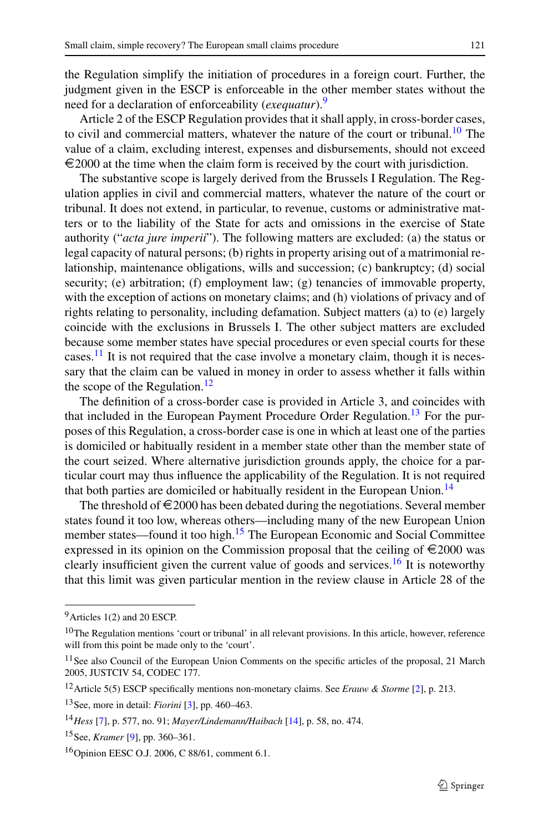the Regulation simplify the initiation of procedures in a foreign court. Further, the judgment given in the ESCP is enforceable in the other member states without the need for a declaration of enforceability (*exequatur*)[.9](#page-2-0)

Article 2 of the ESCP Regulation provides that it shall apply, in cross-border cases, to civil and commercial matters, whatever the nature of the court or tribunal.<sup>10</sup> The value of a claim, excluding interest, expenses and disbursements, should not exceed  $\epsilon$ 2000 at the time when the claim form is received by the court with jurisdiction.

The substantive scope is largely derived from the Brussels I Regulation. The Regulation applies in civil and commercial matters, whatever the nature of the court or tribunal. It does not extend, in particular, to revenue, customs or administrative matters or to the liability of the State for acts and omissions in the exercise of State authority ("*acta jure imperii*"). The following matters are excluded: (a) the status or legal capacity of natural persons; (b) rights in property arising out of a matrimonial relationship, maintenance obligations, wills and succession; (c) bankruptcy; (d) social security; (e) arbitration; (f) employment law; (g) tenancies of immovable property, with the exception of actions on monetary claims; and (h) violations of privacy and of rights relating to personality, including defamation. Subject matters (a) to (e) largely coincide with the exclusions in Brussels I. The other subject matters are excluded because some member states have special procedures or even special courts for these cases.<sup>11</sup> It is not required that the case involve a monetary claim, though it is necessary that the claim can be valued in money in order to assess whether it falls within the scope of the Regulation.<sup>[12](#page-2-3)</sup>

The definition of a cross-border case is provided in Article 3, and coincides with that included in the European Payment Procedure Order Regulation.<sup>[13](#page-2-4)</sup> For the purposes of this Regulation, a cross-border case is one in which at least one of the parties is domiciled or habitually resident in a member state other than the member state of the court seized. Where alternative jurisdiction grounds apply, the choice for a particular court may thus influence the applicability of the Regulation. It is not required that both parties are domiciled or habitually resident in the European Union.<sup>[14](#page-2-5)</sup>

<span id="page-2-2"></span><span id="page-2-1"></span><span id="page-2-0"></span>The threshold of  $\epsilon$  2000 has been debated during the negotiations. Several member states found it too low, whereas others—including many of the new European Union member states—found it too high.<sup>15</sup> The European Economic and Social Committee expressed in its opinion on the Commission proposal that the ceiling of  $\epsilon$ 2000 was clearly insufficient given the current value of goods and services.<sup>16</sup> It is noteworthy that this limit was given particular mention in the review clause in Article 28 of the

<span id="page-2-6"></span><span id="page-2-5"></span><span id="page-2-4"></span><span id="page-2-3"></span><sup>9</sup>Articles 1(2) and 20 ESCP.

<span id="page-2-7"></span><sup>10</sup>The Regulation mentions 'court or tribunal' in all relevant provisions. In this article, however, reference will from this point be made only to the 'court'.

<sup>&</sup>lt;sup>11</sup> See also Council of the European Union Comments on the specific articles of the proposal, 21 March 2005, JUSTCIV 54, CODEC 177.

<sup>12</sup>Article 5(5) ESCP specifically mentions non-monetary claims. See *Erauw & Storme* [[2\]](#page-13-3), p. 213.

<sup>13</sup>See, more in detail: *Fiorini* [[3\]](#page-13-4), pp. 460–463.

<sup>14</sup>*Hess* [\[7](#page-13-5)], p. 577, no. 91; *Mayer/Lindemann/Haibach* [[14\]](#page-14-2), p. 58, no. 474.

<sup>15</sup>See, *Kramer* [\[9](#page-14-0)], pp. 360–361.

<sup>16</sup>Opinion EESC O.J. 2006, C 88/61, comment 6.1.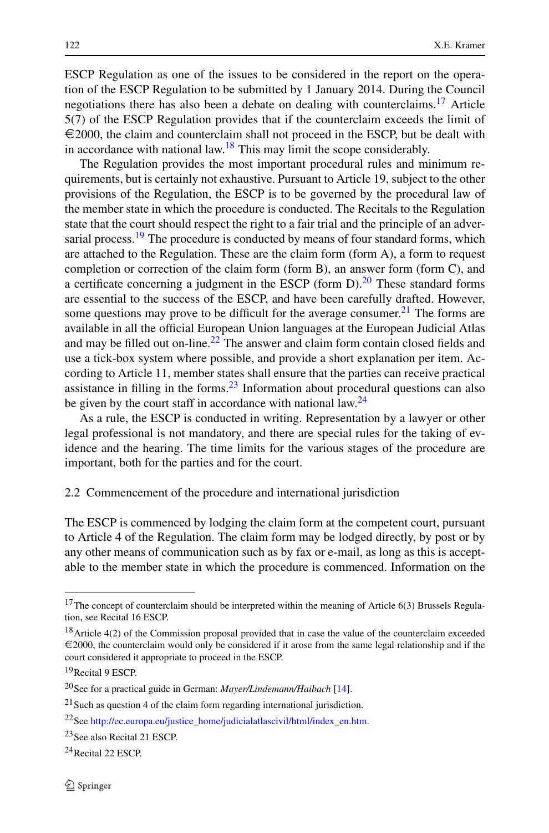ESCP Regulation as one of the issues to be considered in the report on the operation of the ESCP Regulation to be submitted by 1 January 2014. During the Council negotiations there has also been a debate on dealing with counterclaims.<sup>[17](#page-3-0)</sup> Article 5(7) of the ESCP Regulation provides that if the counterclaim exceeds the limit of  $\epsilon$ 2000, the claim and counterclaim shall not proceed in the ESCP, but be dealt with in accordance with national law.<sup>18</sup> This may limit the scope considerably.

The Regulation provides the most important procedural rules and minimum requirements, but is certainly not exhaustive. Pursuant to Article 19, subject to the other provisions of the Regulation, the ESCP is to be governed by the procedural law of the member state in which the procedure is conducted. The Recitals to the Regulation state that the court should respect the right to a fair trial and the principle of an adversarial process.<sup>19</sup> The procedure is conducted by means of four standard forms, which are attached to the Regulation. These are the claim form (form A), a form to request completion or correction of the claim form (form B), an answer form (form C), and a certificate concerning a judgment in the ESCP (form  $D$ ).<sup>[20](#page-3-3)</sup> These standard forms are essential to the success of the ESCP, and have been carefully drafted. However, some questions may prove to be difficult for the average consumer.<sup>21</sup> The forms are available in all the official European Union languages at the European Judicial Atlas and may be filled out on-line.<sup>[22](#page-3-5)</sup> The answer and claim form contain closed fields and use a tick-box system where possible, and provide a short explanation per item. According to Article 11, member states shall ensure that the parties can receive practical assistance in filling in the forms. $^{23}$  Information about procedural questions can also be given by the court staff in accordance with national law. $^{24}$  $^{24}$  $^{24}$ 

As a rule, the ESCP is conducted in writing. Representation by a lawyer or other legal professional is not mandatory, and there are special rules for the taking of evidence and the hearing. The time limits for the various stages of the procedure are important, both for the parties and for the court.

## <span id="page-3-0"></span>2.2 Commencement of the procedure and international jurisdiction

<span id="page-3-2"></span><span id="page-3-1"></span>The ESCP is commenced by lodging the claim form at the competent court, pursuant to Article 4 of the Regulation. The claim form may be lodged directly, by post or by any other means of communication such as by fax or e-mail, as long as this is acceptable to the member state in which the procedure is commenced. Information on the

<span id="page-3-5"></span><span id="page-3-4"></span><span id="page-3-3"></span> $17$ The concept of counterclaim should be interpreted within the meaning of Article 6(3) Brussels Regulation, see Recital 16 ESCP.

<span id="page-3-7"></span><span id="page-3-6"></span><sup>&</sup>lt;sup>18</sup>Article 4(2) of the Commission proposal provided that in case the value of the counterclaim exceeded €2000, the counterclaim would only be considered if it arose from the same legal relationship and if the court considered it appropriate to proceed in the ESCP.

<sup>19</sup>Recital 9 ESCP.

<sup>20</sup>See for a practical guide in German: *Mayer/Lindemann/Haibach* [[14\]](#page-14-2).

 $21$  Such as question 4 of the claim form regarding international jurisdiction.

<sup>22</sup>See [http://ec.europa.eu/justice\\_home/judicialatlascivil/html/index\\_en.htm.](http://ec.europa.eu/justice_home/judicialatlascivil/html/index_en.htm)

<sup>23</sup>See also Recital 21 ESCP.

<sup>&</sup>lt;sup>24</sup>Recital 22 ESCP.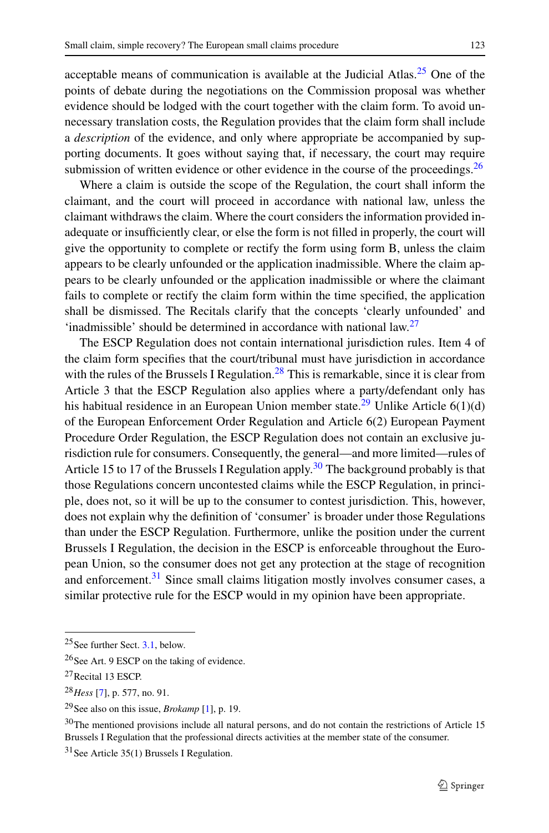acceptable means of communication is available at the Judicial Atlas.<sup>[25](#page-4-0)</sup> One of the points of debate during the negotiations on the Commission proposal was whether evidence should be lodged with the court together with the claim form. To avoid unnecessary translation costs, the Regulation provides that the claim form shall include a *description* of the evidence, and only where appropriate be accompanied by supporting documents. It goes without saying that, if necessary, the court may require submission of written evidence or other evidence in the course of the proceedings.  $^{26}$ 

Where a claim is outside the scope of the Regulation, the court shall inform the claimant, and the court will proceed in accordance with national law, unless the claimant withdraws the claim. Where the court considers the information provided inadequate or insufficiently clear, or else the form is not filled in properly, the court will give the opportunity to complete or rectify the form using form B, unless the claim appears to be clearly unfounded or the application inadmissible. Where the claim appears to be clearly unfounded or the application inadmissible or where the claimant fails to complete or rectify the claim form within the time specified, the application shall be dismissed. The Recitals clarify that the concepts 'clearly unfounded' and 'inadmissible' should be determined in accordance with national law. $27$ 

The ESCP Regulation does not contain international jurisdiction rules. Item 4 of the claim form specifies that the court/tribunal must have jurisdiction in accordance with the rules of the Brussels I Regulation.<sup>28</sup> This is remarkable, since it is clear from Article 3 that the ESCP Regulation also applies where a party/defendant only has his habitual residence in an European Union member state.<sup>29</sup> Unlike Article  $6(1)(d)$ of the European Enforcement Order Regulation and Article 6(2) European Payment Procedure Order Regulation, the ESCP Regulation does not contain an exclusive jurisdiction rule for consumers. Consequently, the general—and more limited—rules of Article 15 to 17 of the Brussels I Regulation apply.<sup>[30](#page-4-5)</sup> The background probably is that those Regulations concern uncontested claims while the ESCP Regulation, in principle, does not, so it will be up to the consumer to contest jurisdiction. This, however, does not explain why the definition of 'consumer' is broader under those Regulations than under the ESCP Regulation. Furthermore, unlike the position under the current Brussels I Regulation, the decision in the ESCP is enforceable throughout the European Union, so the consumer does not get any protection at the stage of recognition and enforcement. $31$  Since small claims litigation mostly involves consumer cases, a similar protective rule for the ESCP would in my opinion have been appropriate.

<span id="page-4-6"></span><span id="page-4-5"></span><span id="page-4-4"></span><span id="page-4-3"></span><span id="page-4-2"></span><span id="page-4-1"></span><span id="page-4-0"></span> $25$ See further Sect. [3.1,](#page-9-0) below.

<sup>&</sup>lt;sup>26</sup>See Art. 9 ESCP on the taking of evidence.

<sup>27</sup>Recital 13 ESCP.

<sup>28</sup>*Hess* [\[7](#page-13-5)], p. 577, no. 91.

<sup>29</sup>See also on this issue, *Brokamp* [\[1](#page-13-1)], p. 19.

 $30$ The mentioned provisions include all natural persons, and do not contain the restrictions of Article 15 Brussels I Regulation that the professional directs activities at the member state of the consumer.

 $31$ See Article 35(1) Brussels I Regulation.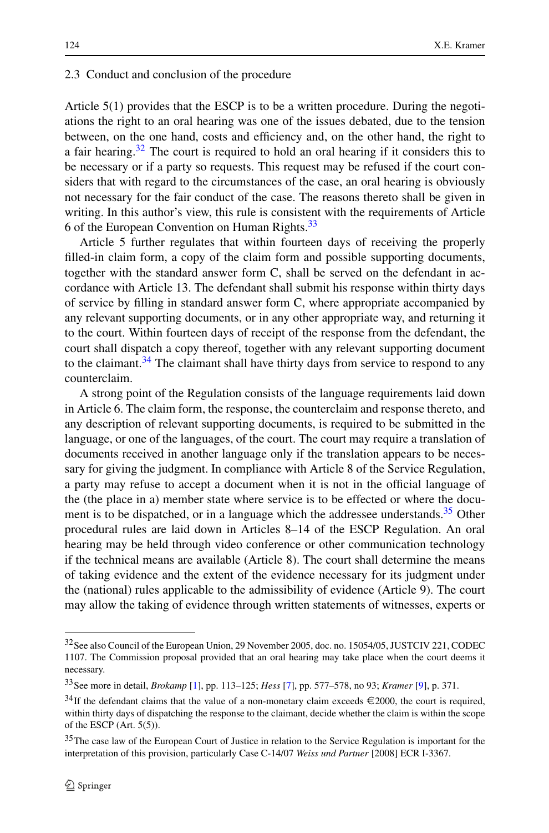## 2.3 Conduct and conclusion of the procedure

Article 5(1) provides that the ESCP is to be a written procedure. During the negotiations the right to an oral hearing was one of the issues debated, due to the tension between, on the one hand, costs and efficiency and, on the other hand, the right to a fair hearing.[32](#page-5-0) The court is required to hold an oral hearing if it considers this to be necessary or if a party so requests. This request may be refused if the court considers that with regard to the circumstances of the case, an oral hearing is obviously not necessary for the fair conduct of the case. The reasons thereto shall be given in writing. In this author's view, this rule is consistent with the requirements of Article 6 of the European Convention on Human Rights.[33](#page-5-1)

Article 5 further regulates that within fourteen days of receiving the properly filled-in claim form, a copy of the claim form and possible supporting documents, together with the standard answer form C, shall be served on the defendant in accordance with Article 13. The defendant shall submit his response within thirty days of service by filling in standard answer form C, where appropriate accompanied by any relevant supporting documents, or in any other appropriate way, and returning it to the court. Within fourteen days of receipt of the response from the defendant, the court shall dispatch a copy thereof, together with any relevant supporting document to the claimant.<sup>[34](#page-5-2)</sup> The claimant shall have thirty days from service to respond to any counterclaim.

A strong point of the Regulation consists of the language requirements laid down in Article 6. The claim form, the response, the counterclaim and response thereto, and any description of relevant supporting documents, is required to be submitted in the language, or one of the languages, of the court. The court may require a translation of documents received in another language only if the translation appears to be necessary for giving the judgment. In compliance with Article 8 of the Service Regulation, a party may refuse to accept a document when it is not in the official language of the (the place in a) member state where service is to be effected or where the document is to be dispatched, or in a language which the addressee understands.<sup>35</sup> Other procedural rules are laid down in Articles 8–14 of the ESCP Regulation. An oral hearing may be held through video conference or other communication technology if the technical means are available (Article 8). The court shall determine the means of taking evidence and the extent of the evidence necessary for its judgment under the (national) rules applicable to the admissibility of evidence (Article 9). The court may allow the taking of evidence through written statements of witnesses, experts or

<span id="page-5-3"></span><span id="page-5-2"></span><span id="page-5-1"></span><span id="page-5-0"></span><sup>32</sup>See also Council of the European Union, 29 November 2005, doc. no. 15054/05, JUSTCIV 221, CODEC 1107. The Commission proposal provided that an oral hearing may take place when the court deems it necessary.

<sup>33</sup>See more in detail, *Brokamp* [\[1](#page-13-1)], pp. 113–125; *Hess* [\[7](#page-13-5)], pp. 577–578, no 93; *Kramer* [\[9](#page-14-0)], p. 371.

<sup>&</sup>lt;sup>34</sup>If the defendant claims that the value of a non-monetary claim exceeds  $\epsilon$ 2000, the court is required, within thirty days of dispatching the response to the claimant, decide whether the claim is within the scope of the ESCP (Art. 5(5)).

<sup>&</sup>lt;sup>35</sup>The case law of the European Court of Justice in relation to the Service Regulation is important for the interpretation of this provision, particularly Case C-14/07 *Weiss und Partner* [2008] ECR I-3367.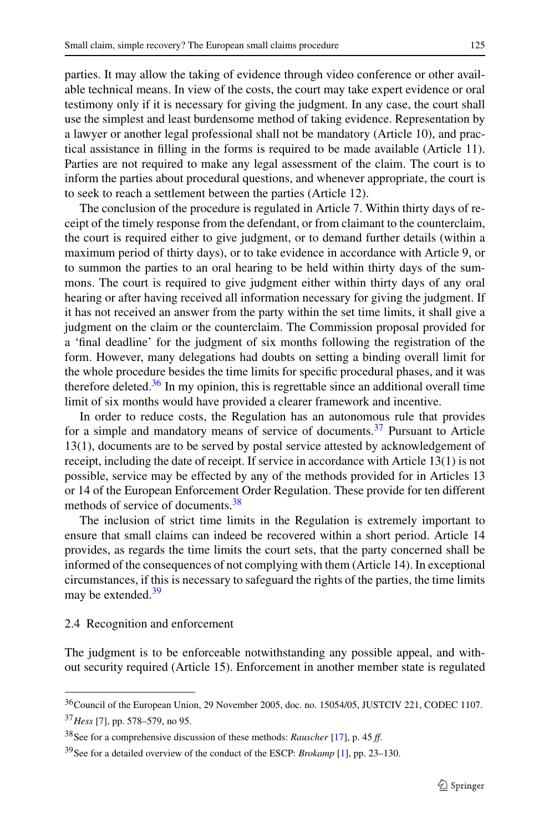parties. It may allow the taking of evidence through video conference or other available technical means. In view of the costs, the court may take expert evidence or oral testimony only if it is necessary for giving the judgment. In any case, the court shall use the simplest and least burdensome method of taking evidence. Representation by a lawyer or another legal professional shall not be mandatory (Article 10), and practical assistance in filling in the forms is required to be made available (Article 11). Parties are not required to make any legal assessment of the claim. The court is to inform the parties about procedural questions, and whenever appropriate, the court is to seek to reach a settlement between the parties (Article 12).

The conclusion of the procedure is regulated in Article 7. Within thirty days of receipt of the timely response from the defendant, or from claimant to the counterclaim, the court is required either to give judgment, or to demand further details (within a maximum period of thirty days), or to take evidence in accordance with Article 9, or to summon the parties to an oral hearing to be held within thirty days of the summons. The court is required to give judgment either within thirty days of any oral hearing or after having received all information necessary for giving the judgment. If it has not received an answer from the party within the set time limits, it shall give a judgment on the claim or the counterclaim. The Commission proposal provided for a 'final deadline' for the judgment of six months following the registration of the form. However, many delegations had doubts on setting a binding overall limit for the whole procedure besides the time limits for specific procedural phases, and it was therefore deleted. $36$  In my opinion, this is regrettable since an additional overall time limit of six months would have provided a clearer framework and incentive.

In order to reduce costs, the Regulation has an autonomous rule that provides for a simple and mandatory means of service of documents.<sup>[37](#page-6-1)</sup> Pursuant to Article 13(1), documents are to be served by postal service attested by acknowledgement of receipt, including the date of receipt. If service in accordance with Article 13(1) is not possible, service may be effected by any of the methods provided for in Articles 13 or 14 of the European Enforcement Order Regulation. These provide for ten different methods of service of documents.<sup>38</sup>

The inclusion of strict time limits in the Regulation is extremely important to ensure that small claims can indeed be recovered within a short period. Article 14 provides, as regards the time limits the court sets, that the party concerned shall be informed of the consequences of not complying with them (Article 14). In exceptional circumstances, if this is necessary to safeguard the rights of the parties, the time limits may be extended.<sup>[39](#page-6-3)</sup>

## <span id="page-6-2"></span><span id="page-6-1"></span><span id="page-6-0"></span>2.4 Recognition and enforcement

<span id="page-6-3"></span>The judgment is to be enforceable notwithstanding any possible appeal, and without security required (Article 15). Enforcement in another member state is regulated

<sup>36</sup>Council of the European Union, 29 November 2005, doc. no. 15054/05, JUSTCIV 221, CODEC 1107. <sup>37</sup>*Hess* [\[7](#page-13-5)], pp. 578–579, no 95.

<sup>38</sup>See for a comprehensive discussion of these methods: *Rauscher* [[17\]](#page-14-3), p. 45 *ff*.

<sup>39</sup>See for a detailed overview of the conduct of the ESCP: *Brokamp* [[1\]](#page-13-1), pp. 23–130.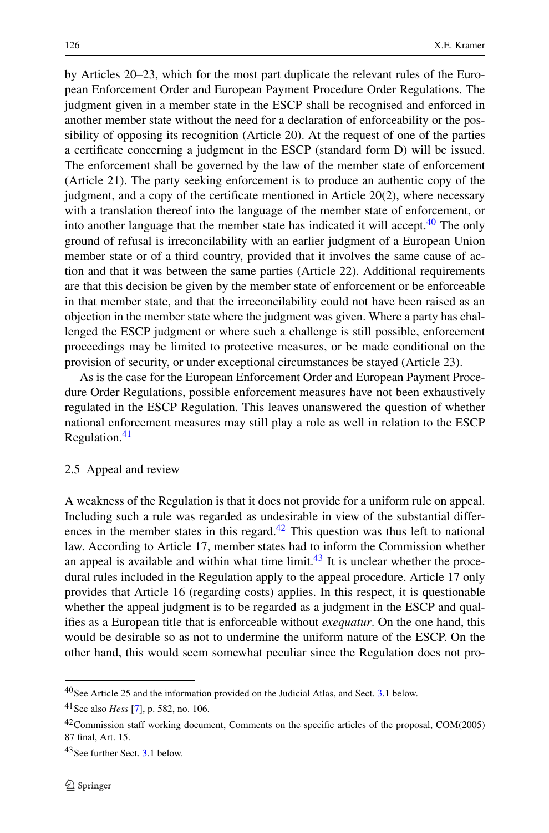by Articles 20–23, which for the most part duplicate the relevant rules of the European Enforcement Order and European Payment Procedure Order Regulations. The judgment given in a member state in the ESCP shall be recognised and enforced in another member state without the need for a declaration of enforceability or the possibility of opposing its recognition (Article 20). At the request of one of the parties a certificate concerning a judgment in the ESCP (standard form D) will be issued. The enforcement shall be governed by the law of the member state of enforcement (Article 21). The party seeking enforcement is to produce an authentic copy of the judgment, and a copy of the certificate mentioned in Article 20(2), where necessary with a translation thereof into the language of the member state of enforcement, or into another language that the member state has indicated it will accept. $40$  The only ground of refusal is irreconcilability with an earlier judgment of a European Union member state or of a third country, provided that it involves the same cause of action and that it was between the same parties (Article 22). Additional requirements are that this decision be given by the member state of enforcement or be enforceable in that member state, and that the irreconcilability could not have been raised as an objection in the member state where the judgment was given. Where a party has challenged the ESCP judgment or where such a challenge is still possible, enforcement proceedings may be limited to protective measures, or be made conditional on the provision of security, or under exceptional circumstances be stayed (Article 23).

As is the case for the European Enforcement Order and European Payment Procedure Order Regulations, possible enforcement measures have not been exhaustively regulated in the ESCP Regulation. This leaves unanswered the question of whether national enforcement measures may still play a role as well in relation to the ESCP Regulation.<sup>[41](#page-7-1)</sup>

## 2.5 Appeal and review

<span id="page-7-1"></span><span id="page-7-0"></span>A weakness of the Regulation is that it does not provide for a uniform rule on appeal. Including such a rule was regarded as undesirable in view of the substantial differences in the member states in this regard. $42$  This question was thus left to national law. According to Article 17, member states had to inform the Commission whether an appeal is available and within what time limit. $43$  It is unclear whether the procedural rules included in the Regulation apply to the appeal procedure. Article 17 only provides that Article 16 (regarding costs) applies. In this respect, it is questionable whether the appeal judgment is to be regarded as a judgment in the ESCP and qualifies as a European title that is enforceable without *exequatur*. On the one hand, this would be desirable so as not to undermine the uniform nature of the ESCP. On the other hand, this would seem somewhat peculiar since the Regulation does not pro-

<span id="page-7-3"></span><span id="page-7-2"></span><sup>40</sup>See Article 25 and the information provided on the Judicial Atlas, and Sect. [3](#page-9-1).1 below.

<sup>41</sup>See also *Hess* [[7\]](#page-13-5), p. 582, no. 106.

<sup>42</sup>Commission staff working document, Comments on the specific articles of the proposal, COM(2005) 87 final, Art. 15.

 $43$  See further Sect. [3.](#page-9-1)1 below.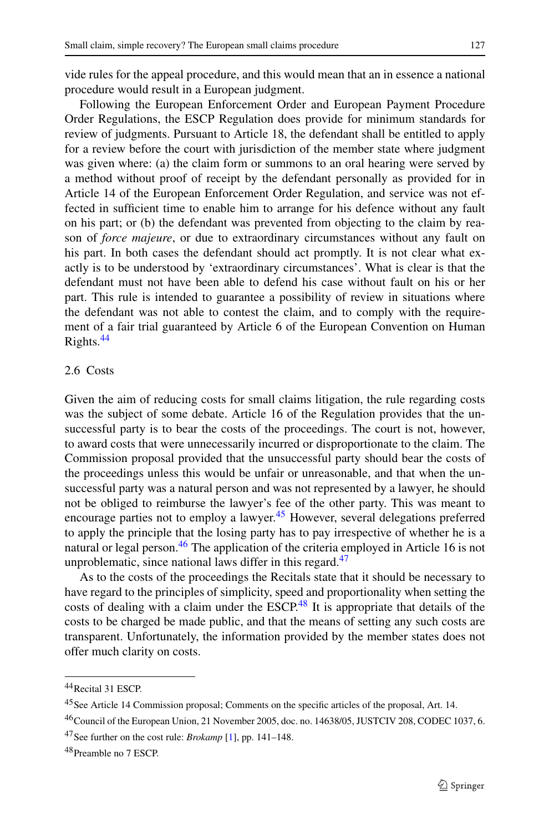vide rules for the appeal procedure, and this would mean that an in essence a national procedure would result in a European judgment.

Following the European Enforcement Order and European Payment Procedure Order Regulations, the ESCP Regulation does provide for minimum standards for review of judgments. Pursuant to Article 18, the defendant shall be entitled to apply for a review before the court with jurisdiction of the member state where judgment was given where: (a) the claim form or summons to an oral hearing were served by a method without proof of receipt by the defendant personally as provided for in Article 14 of the European Enforcement Order Regulation, and service was not effected in sufficient time to enable him to arrange for his defence without any fault on his part; or (b) the defendant was prevented from objecting to the claim by reason of *force majeure*, or due to extraordinary circumstances without any fault on his part. In both cases the defendant should act promptly. It is not clear what exactly is to be understood by 'extraordinary circumstances'. What is clear is that the defendant must not have been able to defend his case without fault on his or her part. This rule is intended to guarantee a possibility of review in situations where the defendant was not able to contest the claim, and to comply with the requirement of a fair trial guaranteed by Article 6 of the European Convention on Human Rights.<sup>44</sup>

## 2.6 Costs

Given the aim of reducing costs for small claims litigation, the rule regarding costs was the subject of some debate. Article 16 of the Regulation provides that the unsuccessful party is to bear the costs of the proceedings. The court is not, however, to award costs that were unnecessarily incurred or disproportionate to the claim. The Commission proposal provided that the unsuccessful party should bear the costs of the proceedings unless this would be unfair or unreasonable, and that when the unsuccessful party was a natural person and was not represented by a lawyer, he should not be obliged to reimburse the lawyer's fee of the other party. This was meant to encourage parties not to employ a lawyer.<sup>[45](#page-8-1)</sup> However, several delegations preferred to apply the principle that the losing party has to pay irrespective of whether he is a natural or legal person.<sup>[46](#page-8-2)</sup> The application of the criteria employed in Article 16 is not unproblematic, since national laws differ in this regard. $47$ 

<span id="page-8-3"></span><span id="page-8-2"></span><span id="page-8-1"></span><span id="page-8-0"></span>As to the costs of the proceedings the Recitals state that it should be necessary to have regard to the principles of simplicity, speed and proportionality when setting the costs of dealing with a claim under the ESCP.<sup>[48](#page-8-4)</sup> It is appropriate that details of the costs to be charged be made public, and that the means of setting any such costs are transparent. Unfortunately, the information provided by the member states does not offer much clarity on costs.

<span id="page-8-4"></span><sup>44</sup>Recital 31 ESCP.

<sup>45</sup>See Article 14 Commission proposal; Comments on the specific articles of the proposal, Art. 14.

<sup>46</sup>Council of the European Union, 21 November 2005, doc. no. 14638/05, JUSTCIV 208, CODEC 1037, 6.

<sup>47</sup>See further on the cost rule: *Brokamp* [[1\]](#page-13-1), pp. 141–148.

<sup>48</sup>Preamble no 7 ESCP.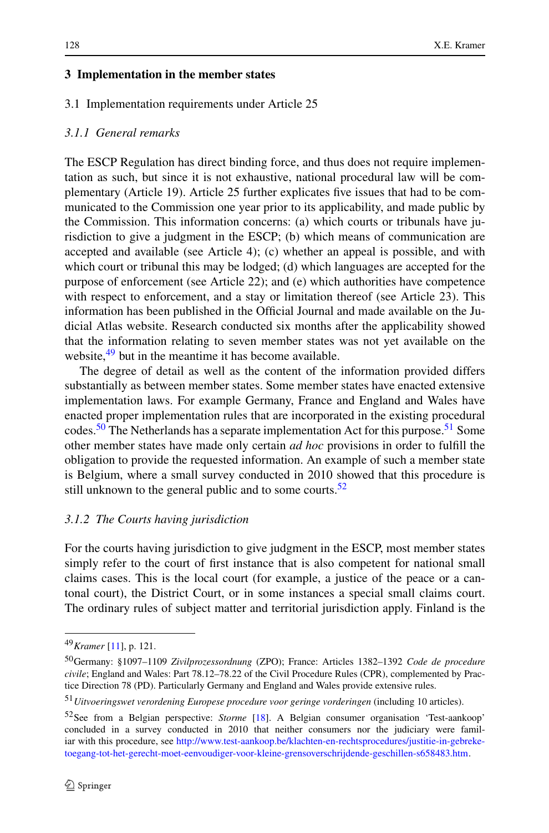#### <span id="page-9-1"></span><span id="page-9-0"></span>**3 Implementation in the member states**

3.1 Implementation requirements under Article 25

#### *3.1.1 General remarks*

The ESCP Regulation has direct binding force, and thus does not require implementation as such, but since it is not exhaustive, national procedural law will be complementary (Article 19). Article 25 further explicates five issues that had to be communicated to the Commission one year prior to its applicability, and made public by the Commission. This information concerns: (a) which courts or tribunals have jurisdiction to give a judgment in the ESCP; (b) which means of communication are accepted and available (see Article 4); (c) whether an appeal is possible, and with which court or tribunal this may be lodged; (d) which languages are accepted for the purpose of enforcement (see Article 22); and (e) which authorities have competence with respect to enforcement, and a stay or limitation thereof (see Article 23). This information has been published in the Official Journal and made available on the Judicial Atlas website. Research conducted six months after the applicability showed that the information relating to seven member states was not yet available on the website, $49$  but in the meantime it has become available.

The degree of detail as well as the content of the information provided differs substantially as between member states. Some member states have enacted extensive implementation laws. For example Germany, France and England and Wales have enacted proper implementation rules that are incorporated in the existing procedural codes.<sup>[50](#page-9-3)</sup> The Netherlands has a separate implementation Act for this purpose.<sup>[51](#page-9-4)</sup> Some other member states have made only certain *ad hoc* provisions in order to fulfill the obligation to provide the requested information. An example of such a member state is Belgium, where a small survey conducted in 2010 showed that this procedure is still unknown to the general public and to some courts. $52$ 

## <span id="page-9-2"></span>*3.1.2 The Courts having jurisdiction*

<span id="page-9-4"></span><span id="page-9-3"></span>For the courts having jurisdiction to give judgment in the ESCP, most member states simply refer to the court of first instance that is also competent for national small claims cases. This is the local court (for example, a justice of the peace or a cantonal court), the District Court, or in some instances a special small claims court. The ordinary rules of subject matter and territorial jurisdiction apply. Finland is the

<span id="page-9-5"></span><sup>49</sup>*Kramer* [[11\]](#page-14-4), p. 121.

<sup>50</sup>Germany: §1097–1109 *Zivilprozessordnung* (ZPO); France: Articles 1382–1392 *Code de procedure civile*; England and Wales: Part 78.12–78.22 of the Civil Procedure Rules (CPR), complemented by Practice Direction 78 (PD). Particularly Germany and England and Wales provide extensive rules.

<sup>51</sup>*Uitvoeringswet verordening Europese procedure voor geringe vorderingen* (including 10 articles).

<sup>52</sup>See from a Belgian perspective: *Storme* [[18\]](#page-14-5). A Belgian consumer organisation 'Test-aankoop' concluded in a survey conducted in 2010 that neither consumers nor the judiciary were familiar with this procedure, see [http://www.test-aankoop.be/klachten-en-rechtsprocedures/justitie-in-gebreke](http://www.test-aankoop.be/klachten-en-rechtsprocedures/justitie-in-gebreke-toegang-tot-het-gerecht-moet-eenvoudiger-voor-kleine-grensoverschrijdende-geschillen-s658483.htm)[toegang-tot-het-gerecht-moet-eenvoudiger-voor-kleine-grensoverschrijdende-geschillen-s658483.htm](http://www.test-aankoop.be/klachten-en-rechtsprocedures/justitie-in-gebreke-toegang-tot-het-gerecht-moet-eenvoudiger-voor-kleine-grensoverschrijdende-geschillen-s658483.htm).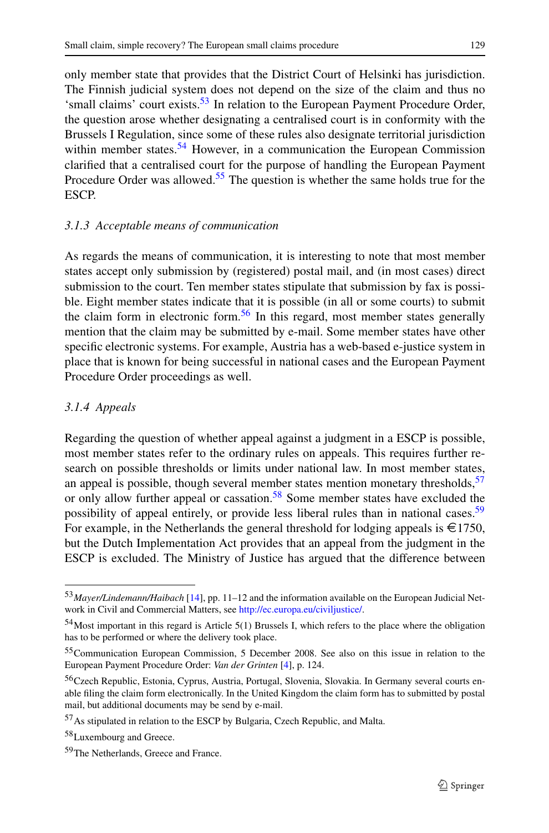only member state that provides that the District Court of Helsinki has jurisdiction. The Finnish judicial system does not depend on the size of the claim and thus no 'small claims' court exists.<sup>53</sup> In relation to the European Payment Procedure Order, the question arose whether designating a centralised court is in conformity with the Brussels I Regulation, since some of these rules also designate territorial jurisdiction within member states. $54$  However, in a communication the European Commission clarified that a centralised court for the purpose of handling the European Payment Procedure Order was allowed.<sup>[55](#page-10-2)</sup> The question is whether the same holds true for the **ESCP.** 

## *3.1.3 Acceptable means of communication*

As regards the means of communication, it is interesting to note that most member states accept only submission by (registered) postal mail, and (in most cases) direct submission to the court. Ten member states stipulate that submission by fax is possible. Eight member states indicate that it is possible (in all or some courts) to submit the claim form in electronic form.<sup>[56](#page-10-3)</sup> In this regard, most member states generally mention that the claim may be submitted by e-mail. Some member states have other specific electronic systems. For example, Austria has a web-based e-justice system in place that is known for being successful in national cases and the European Payment Procedure Order proceedings as well.

## *3.1.4 Appeals*

<span id="page-10-1"></span><span id="page-10-0"></span>Regarding the question of whether appeal against a judgment in a ESCP is possible, most member states refer to the ordinary rules on appeals. This requires further research on possible thresholds or limits under national law. In most member states, an appeal is possible, though several member states mention monetary thresholds,<sup>57</sup> or only allow further appeal or cassation.<sup>58</sup> Some member states have excluded the possibility of appeal entirely, or provide less liberal rules than in national cases.<sup>59</sup> For example, in the Netherlands the general threshold for lodging appeals is  $\epsilon$  1750, but the Dutch Implementation Act provides that an appeal from the judgment in the ESCP is excluded. The Ministry of Justice has argued that the difference between

<span id="page-10-4"></span><span id="page-10-3"></span><span id="page-10-2"></span><sup>53</sup>*Mayer/Lindemann/Haibach* [[14\]](#page-14-2), pp. 11–12 and the information available on the European Judicial Network in Civil and Commercial Matters, see [http://ec.europa.eu/civiljustice/.](http://ec.europa.eu/civiljustice/)

<span id="page-10-5"></span><sup>54</sup>Most important in this regard is Article 5(1) Brussels I, which refers to the place where the obligation has to be performed or where the delivery took place.

<span id="page-10-6"></span><sup>55</sup>Communication European Commission, 5 December 2008. See also on this issue in relation to the European Payment Procedure Order: *Van der Grinten* [\[4](#page-13-6)], p. 124.

<sup>56</sup>Czech Republic, Estonia, Cyprus, Austria, Portugal, Slovenia, Slovakia. In Germany several courts enable filing the claim form electronically. In the United Kingdom the claim form has to submitted by postal mail, but additional documents may be send by e-mail.

<sup>57</sup>As stipulated in relation to the ESCP by Bulgaria, Czech Republic, and Malta.

<sup>58</sup>Luxembourg and Greece.

<sup>59</sup>The Netherlands, Greece and France.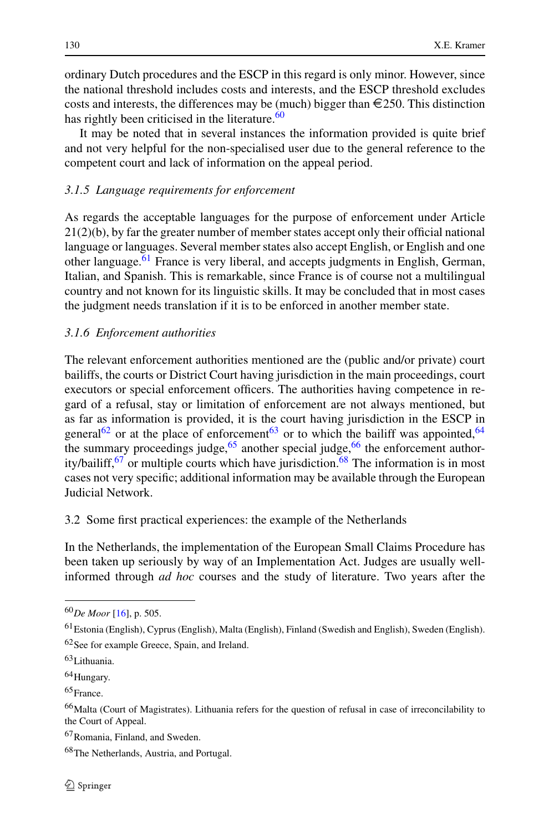ordinary Dutch procedures and the ESCP in this regard is only minor. However, since the national threshold includes costs and interests, and the ESCP threshold excludes costs and interests, the differences may be (much) bigger than  $\epsilon$ 250. This distinction has rightly been criticised in the literature. $60$ 

It may be noted that in several instances the information provided is quite brief and not very helpful for the non-specialised user due to the general reference to the competent court and lack of information on the appeal period.

## *3.1.5 Language requirements for enforcement*

As regards the acceptable languages for the purpose of enforcement under Article 21(2)(b), by far the greater number of member states accept only their official national language or languages. Several member states also accept English, or English and one other language. $61$  France is very liberal, and accepts judgments in English, German, Italian, and Spanish. This is remarkable, since France is of course not a multilingual country and not known for its linguistic skills. It may be concluded that in most cases the judgment needs translation if it is to be enforced in another member state.

## *3.1.6 Enforcement authorities*

The relevant enforcement authorities mentioned are the (public and/or private) court bailiffs, the courts or District Court having jurisdiction in the main proceedings, court executors or special enforcement officers. The authorities having competence in regard of a refusal, stay or limitation of enforcement are not always mentioned, but as far as information is provided, it is the court having jurisdiction in the ESCP in general<sup>[62](#page-11-2)</sup> or at the place of enforcement<sup>[63](#page-11-3)</sup> or to which the bailiff was appointed,<sup>[64](#page-11-4)</sup> the summary proceedings judge,  $65$  another special judge,  $66$  the enforcement authority/bailiff,  $\frac{67}{10}$  $\frac{67}{10}$  $\frac{67}{10}$  or multiple courts which have jurisdiction.  $\frac{68}{10}$  $\frac{68}{10}$  $\frac{68}{10}$  The information is in most cases not very specific; additional information may be available through the European Judicial Network.

## <span id="page-11-2"></span><span id="page-11-1"></span><span id="page-11-0"></span>3.2 Some first practical experiences: the example of the Netherlands

<span id="page-11-5"></span><span id="page-11-4"></span><span id="page-11-3"></span>In the Netherlands, the implementation of the European Small Claims Procedure has been taken up seriously by way of an Implementation Act. Judges are usually wellinformed through *ad hoc* courses and the study of literature. Two years after the

<span id="page-11-6"></span><sup>60</sup>*De Moor* [[16\]](#page-14-6), p. 505.

<span id="page-11-7"></span><sup>61</sup>Estonia (English), Cyprus (English), Malta (English), Finland (Swedish and English), Sweden (English).

<span id="page-11-8"></span><sup>62</sup>See for example Greece, Spain, and Ireland.

<sup>63</sup>Lithuania.

<sup>64</sup>Hungary.

<sup>65</sup>France.

<sup>&</sup>lt;sup>66</sup>Malta (Court of Magistrates). Lithuania refers for the question of refusal in case of irreconcilability to the Court of Appeal.

<sup>67</sup>Romania, Finland, and Sweden.

<sup>68</sup>The Netherlands, Austria, and Portugal.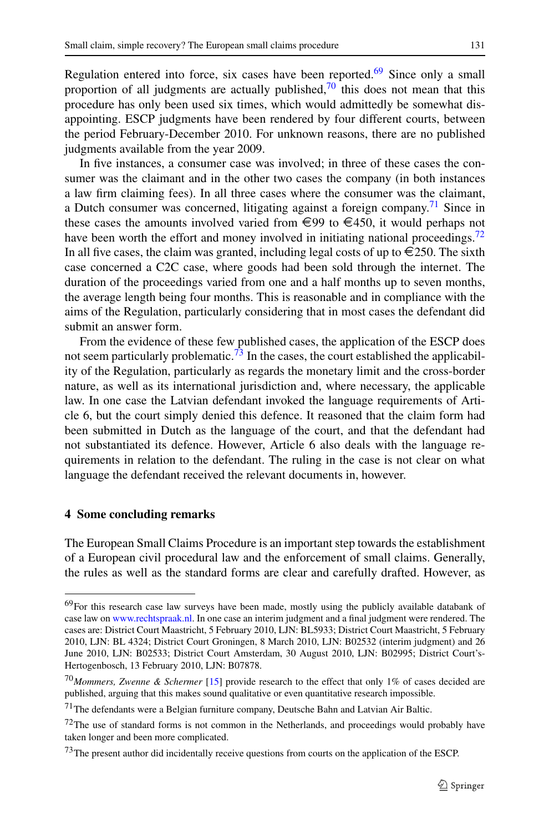Regulation entered into force, six cases have been reported.<sup>69</sup> Since only a small proportion of all judgments are actually published, $70$  this does not mean that this procedure has only been used six times, which would admittedly be somewhat disappointing. ESCP judgments have been rendered by four different courts, between the period February-December 2010. For unknown reasons, there are no published judgments available from the year 2009.

In five instances, a consumer case was involved; in three of these cases the consumer was the claimant and in the other two cases the company (in both instances a law firm claiming fees). In all three cases where the consumer was the claimant, a Dutch consumer was concerned, litigating against a foreign company.<sup>[71](#page-12-2)</sup> Since in these cases the amounts involved varied from  $\epsilon$ 99 to  $\epsilon$ 450, it would perhaps not have been worth the effort and money involved in initiating national proceedings.<sup>[72](#page-12-3)</sup> In all five cases, the claim was granted, including legal costs of up to  $\epsilon$  250. The sixth case concerned a C2C case, where goods had been sold through the internet. The duration of the proceedings varied from one and a half months up to seven months, the average length being four months. This is reasonable and in compliance with the aims of the Regulation, particularly considering that in most cases the defendant did submit an answer form.

From the evidence of these few published cases, the application of the ESCP does not seem particularly problematic.<sup>[73](#page-12-4)</sup> In the cases, the court established the applicability of the Regulation, particularly as regards the monetary limit and the cross-border nature, as well as its international jurisdiction and, where necessary, the applicable law. In one case the Latvian defendant invoked the language requirements of Article 6, but the court simply denied this defence. It reasoned that the claim form had been submitted in Dutch as the language of the court, and that the defendant had not substantiated its defence. However, Article 6 also deals with the language requirements in relation to the defendant. The ruling in the case is not clear on what language the defendant received the relevant documents in, however.

#### <span id="page-12-0"></span>**4 Some concluding remarks**

<span id="page-12-1"></span>The European Small Claims Procedure is an important step towards the establishment of a European civil procedural law and the enforcement of small claims. Generally, the rules as well as the standard forms are clear and carefully drafted. However, as

<span id="page-12-4"></span><span id="page-12-3"></span><span id="page-12-2"></span><sup>&</sup>lt;sup>69</sup>For this research case law surveys have been made, mostly using the publicly available databank of case law on [www.rechtspraak.nl.](http://www.rechtspraak.nl) In one case an interim judgment and a final judgment were rendered. The cases are: District Court Maastricht, 5 February 2010, LJN: BL5933; District Court Maastricht, 5 February 2010, LJN: BL 4324; District Court Groningen, 8 March 2010, LJN: B02532 (interim judgment) and 26 June 2010, LJN: B02533; District Court Amsterdam, 30 August 2010, LJN: B02995; District Court's-Hertogenbosch, 13 February 2010, LJN: B07878.

<sup>70</sup>*Mommers, Zwenne & Schermer* [\[15](#page-14-7)] provide research to the effect that only 1% of cases decided are published, arguing that this makes sound qualitative or even quantitative research impossible.

 $71$ The defendants were a Belgian furniture company, Deutsche Bahn and Latvian Air Baltic.

<sup>&</sup>lt;sup>72</sup>The use of standard forms is not common in the Netherlands, and proceedings would probably have taken longer and been more complicated.

 $^{73}$ The present author did incidentally receive questions from courts on the application of the ESCP.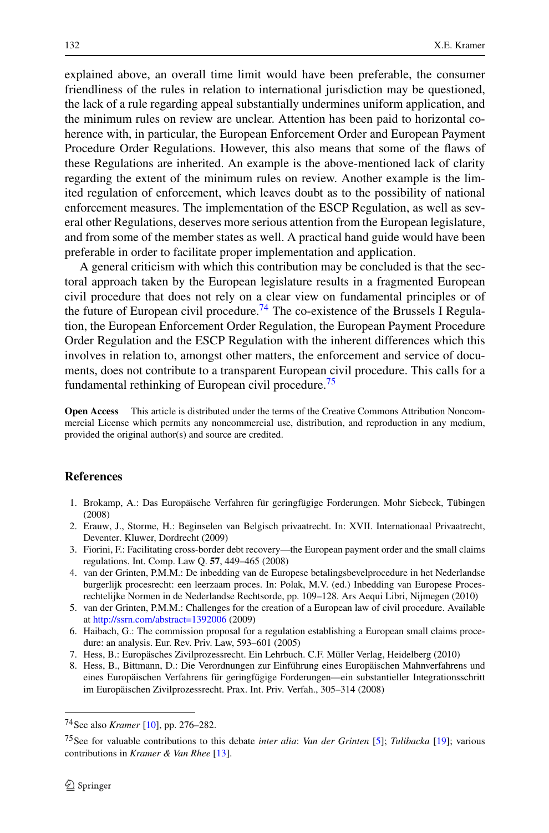explained above, an overall time limit would have been preferable, the consumer friendliness of the rules in relation to international jurisdiction may be questioned, the lack of a rule regarding appeal substantially undermines uniform application, and the minimum rules on review are unclear. Attention has been paid to horizontal coherence with, in particular, the European Enforcement Order and European Payment Procedure Order Regulations. However, this also means that some of the flaws of these Regulations are inherited. An example is the above-mentioned lack of clarity regarding the extent of the minimum rules on review. Another example is the limited regulation of enforcement, which leaves doubt as to the possibility of national enforcement measures. The implementation of the ESCP Regulation, as well as several other Regulations, deserves more serious attention from the European legislature, and from some of the member states as well. A practical hand guide would have been preferable in order to facilitate proper implementation and application.

A general criticism with which this contribution may be concluded is that the sectoral approach taken by the European legislature results in a fragmented European civil procedure that does not rely on a clear view on fundamental principles or of the future of European civil procedure.<sup>[74](#page-13-7)</sup> The co-existence of the Brussels I Regulation, the European Enforcement Order Regulation, the European Payment Procedure Order Regulation and the ESCP Regulation with the inherent differences which this involves in relation to, amongst other matters, the enforcement and service of documents, does not contribute to a transparent European civil procedure. This calls for a fundamental rethinking of European civil procedure.<sup>75</sup>

<span id="page-13-4"></span><span id="page-13-3"></span><span id="page-13-1"></span>**Open Access** This article is distributed under the terms of the Creative Commons Attribution Noncommercial License which permits any noncommercial use, distribution, and reproduction in any medium, provided the original author(s) and source are credited.

## <span id="page-13-9"></span><span id="page-13-6"></span>**References**

- 1. Brokamp, A.: Das Europäische Verfahren für geringfügige Forderungen. Mohr Siebeck, Tübingen (2008)
- <span id="page-13-0"></span>2. Erauw, J., Storme, H.: Beginselen van Belgisch privaatrecht. In: XVII. Internationaal Privaatrecht, Deventer. Kluwer, Dordrecht (2009)
- <span id="page-13-5"></span><span id="page-13-2"></span>3. Fiorini, F.: Facilitating cross-border debt recovery—the European payment order and the small claims regulations. Int. Comp. Law Q. **57**, 449–465 (2008)
- 4. van der Grinten, P.M.M.: De inbedding van de Europese betalingsbevelprocedure in het Nederlandse burgerlijk procesrecht: een leerzaam proces. In: Polak, M.V. (ed.) Inbedding van Europese Procesrechtelijke Normen in de Nederlandse Rechtsorde, pp. 109–128. Ars Aequi Libri, Nijmegen (2010)
- <span id="page-13-7"></span>5. van der Grinten, P.M.M.: Challenges for the creation of a European law of civil procedure. Available at <http://ssrn.com/abstract=1392006> (2009)
- <span id="page-13-8"></span>6. Haibach, G.: The commission proposal for a regulation establishing a European small claims procedure: an analysis. Eur. Rev. Priv. Law, 593–601 (2005)
- 7. Hess, B.: Europäsches Zivilprozessrecht. Ein Lehrbuch. C.F. Müller Verlag, Heidelberg (2010)
- 8. Hess, B., Bittmann, D.: Die Verordnungen zur Einführung eines Europäischen Mahnverfahrens und eines Europäischen Verfahrens für geringfügige Forderungen—ein substantieller Integrationsschritt im Europäischen Zivilprozessrecht. Prax. Int. Priv. Verfah., 305–314 (2008)

<sup>74</sup>See also *Kramer* [[10\]](#page-14-8), pp. 276–282.

<sup>75</sup>See for valuable contributions to this debate *inter alia*: *Van der Grinten* [\[5](#page-13-9)]; *Tulibacka* [[19\]](#page-14-9); various contributions in *Kramer & Van Rhee* [\[13](#page-14-10)].